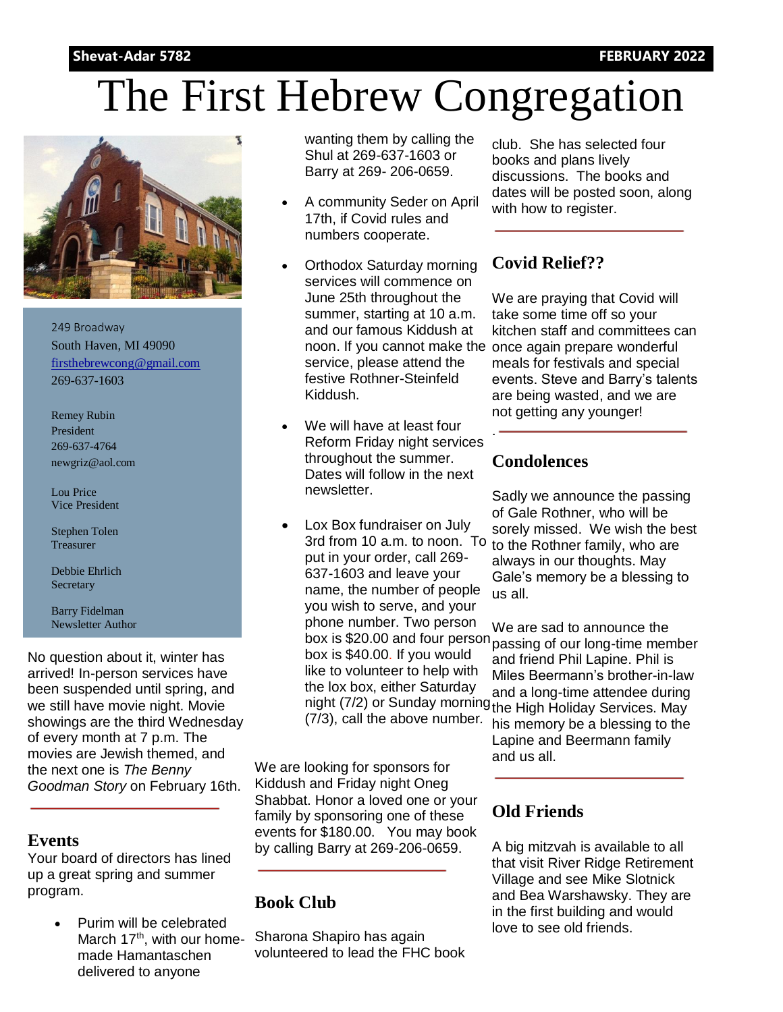#### **Shevat-Adar 5782 FEBRUARY 2022**

# The First Hebrew Congregation



249 Broadway South Haven, MI 49090 [firsthebrewcong@gmail.com](mailto:firsthebrewcong@frontier.com) 269-637-1603

Remey Rubin President 269-637-4764 newgriz@aol.com

Lou Price Vice President

Stephen Tolen Treasurer

Debbie Ehrlich **Secretary** 

Barry Fidelman Newsletter Author

No question about it, winter has arrived! In-person services have been suspended until spring, and we still have movie night. Movie showings are the third Wednesday of every month at 7 p.m. The movies are Jewish themed, and the next one is *The Benny Goodman Story* on February 16th.

#### **Events**

Your board of directors has lined up a great spring and summer program.

> Purim will be celebrated March  $17<sup>th</sup>$ , with our homemade Hamantaschen delivered to anyone

wanting them by calling the Shul at 269-637-1603 or Barry at 269- 206-0659.

- A community Seder on April 17th, if Covid rules and numbers cooperate.
- Orthodox Saturday morning services will commence on June 25th throughout the summer, starting at 10 a.m. and our famous Kiddush at service, please attend the festive Rothner-Steinfeld Kiddush.
- We will have at least four Reform Friday night services throughout the summer. Dates will follow in the next newsletter.
- Lox Box fundraiser on July put in your order, call 269- 637-1603 and leave your name, the number of people you wish to serve, and your phone number. Two person box is \$40.00. If you would like to volunteer to help with the lox box, either Saturday (7/3), call the above number*.*

We are looking for sponsors for Kiddush and Friday night Oneg Shabbat. Honor a loved one or your family by sponsoring one of these events for \$180.00. You may book by calling Barry at 269-206-0659.

#### **Book Club**

Sharona Shapiro has again volunteered to lead the FHC book club. She has selected four books and plans lively discussions. The books and dates will be posted soon, along with how to register.

### **Covid Relief??**

noon. If you cannot make the once again prepare wonderful We are praying that Covid will take some time off so your kitchen staff and committees can meals for festivals and special events. Steve and Barry's talents are being wasted, and we are not getting any younger!

#### **Condolences**

.

3rd from 10 a.m. to noon. To to the Rothner family, who are Sadly we announce the passing of Gale Rothner, who will be sorely missed. We wish the best always in our thoughts. May Gale's memory be a blessing to us all.

box is \$20.00 and four person passing of our long-time member night (7/2) or Sunday morning the High Holiday Services. May We are sad to announce the and friend Phil Lapine. Phil is Miles Beermann's brother-in-law and a long-time attendee during his memory be a blessing to the Lapine and Beermann family and us all.

#### **Old Friends**

A big mitzvah is available to all that visit River Ridge Retirement Village and see Mike Slotnick and Bea Warshawsky. They are in the first building and would love to see old friends.